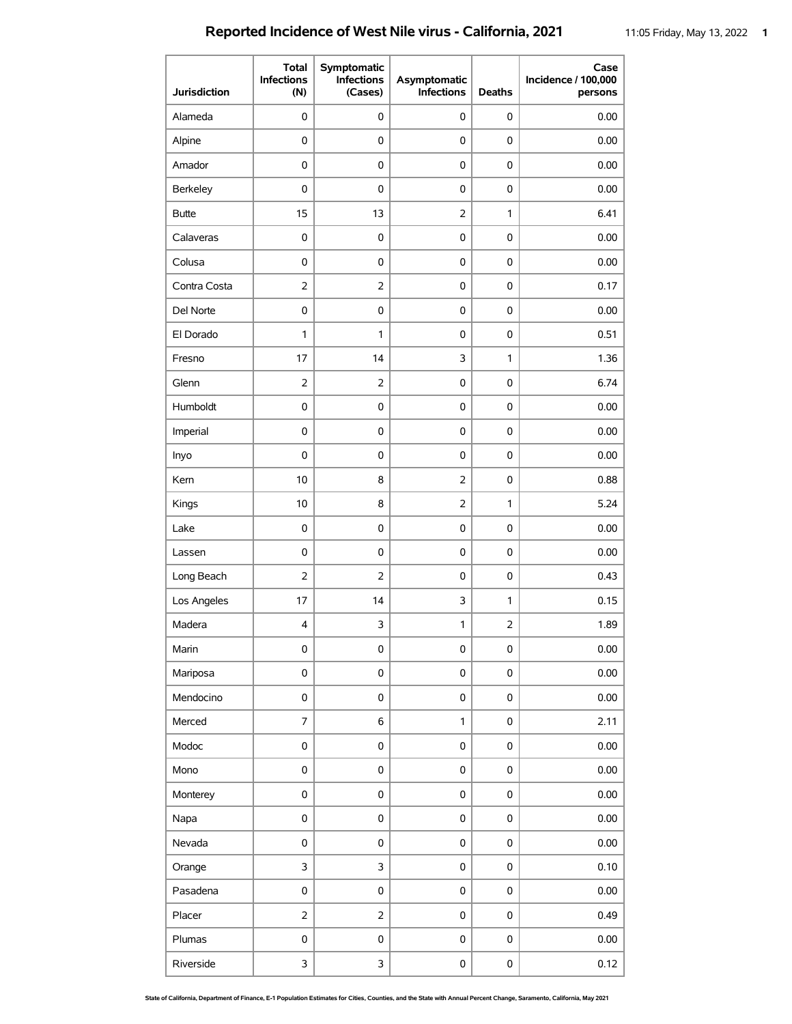## **Reported Incidence of West Nile virus - California, 2021** 11:05 Friday, May 13, 2022 1

| <b>Jurisdiction</b> | <b>Total</b><br><b>Infections</b><br>(N) | Symptomatic<br><b>Infections</b><br>(Cases) | Asymptomatic<br><b>Infections</b> | <b>Deaths</b>       | Case<br>Incidence / 100,000<br>persons |
|---------------------|------------------------------------------|---------------------------------------------|-----------------------------------|---------------------|----------------------------------------|
| Alameda             | 0                                        | 0                                           | 0                                 | 0                   | 0.00                                   |
| Alpine              | 0                                        | 0                                           | 0                                 | 0                   | 0.00                                   |
| Amador              | 0                                        | 0                                           | 0                                 | 0                   | 0.00                                   |
| Berkeley            | 0                                        | 0                                           | 0                                 | 0                   | 0.00                                   |
| <b>Butte</b>        | 15                                       | 13                                          | $\overline{2}$                    | 1                   | 6.41                                   |
| Calaveras           | 0                                        | $\pmb{0}$                                   | $\pmb{0}$                         | $\mathbf 0$         | 0.00                                   |
| Colusa              | 0                                        | 0                                           | 0                                 | 0                   | 0.00                                   |
| Contra Costa        | $\overline{2}$                           | $\overline{2}$                              | $\pmb{0}$                         | $\pmb{0}$           | 0.17                                   |
| Del Norte           | 0                                        | 0                                           | 0                                 | 0                   | 0.00                                   |
| El Dorado           | 1                                        | 1                                           | 0                                 | 0                   | 0.51                                   |
| Fresno              | 17                                       | 14                                          | 3                                 | 1                   | 1.36                                   |
| Glenn               | $\overline{2}$                           | $\overline{2}$                              | 0                                 | 0                   | 6.74                                   |
| Humboldt            | 0                                        | 0                                           | 0                                 | 0                   | 0.00                                   |
| Imperial            | 0                                        | 0                                           | 0                                 | 0                   | 0.00                                   |
| Inyo                | 0                                        | 0                                           | 0                                 | 0                   | 0.00                                   |
| Kern                | 10                                       | 8                                           | $\overline{2}$                    | 0                   | 0.88                                   |
| Kings               | 10                                       | 8                                           | $\overline{2}$                    | $\mathbf{1}$        | 5.24                                   |
| Lake                | 0                                        | 0                                           | 0                                 | 0                   | 0.00                                   |
| Lassen              | 0                                        | 0                                           | 0                                 | 0                   | 0.00                                   |
| Long Beach          | 2                                        | $\overline{2}$                              | 0                                 | 0                   | 0.43                                   |
| Los Angeles         | 17                                       | 14                                          | 3                                 | $\mathbf{1}$        | 0.15                                   |
| Madera              | 4                                        | 3                                           | 1                                 | $\overline{2}$      | 1.89                                   |
| Marin               | $\mathsf 0$                              | $\pmb{0}$                                   | $\pmb{0}$                         | $\mathsf 0$         | 0.00                                   |
| Mariposa            | $\mathsf 0$                              | 0                                           | $\pmb{0}$                         | $\mathsf 0$         | 0.00                                   |
| Mendocino           | $\mathsf 0$                              | 0                                           | $\pmb{0}$                         | $\mathsf 0$         | 0.00                                   |
| Merced              | 7                                        | 6                                           | 1                                 | $\pmb{0}$           | 2.11                                   |
| Modoc               | 0                                        | $\pmb{0}$                                   | $\pmb{0}$                         | $\mathsf 0$         | 0.00                                   |
| Mono                | 0                                        | 0                                           | 0                                 | 0                   | 0.00                                   |
| Monterey            | $\mathsf 0$                              | 0                                           | $\pmb{0}$                         | $\pmb{0}$           | 0.00                                   |
| Napa                | 0                                        | 0                                           | $\pmb{0}$                         | $\mathsf{O}\xspace$ | 0.00                                   |
| Nevada              | $\mathsf 0$                              | 0                                           | $\pmb{0}$                         | $\pmb{0}$           | 0.00                                   |
| Orange              | 3                                        | 3                                           | $\mathsf 0$                       | $\mathsf 0$         | 0.10                                   |
| Pasadena            | $\mathsf 0$                              | 0                                           | $\pmb{0}$                         | $\mathsf 0$         | 0.00                                   |
| Placer              | $\overline{2}$                           | $\overline{2}$                              | 0                                 | $\mathsf{O}\xspace$ | 0.49                                   |
| Plumas              | 0                                        | $\mathbf 0$                                 | $\pmb{0}$                         | $\mathsf 0$         | 0.00                                   |
| Riverside           | 3                                        | 3                                           | $\pmb{0}$                         | 0                   | 0.12                                   |